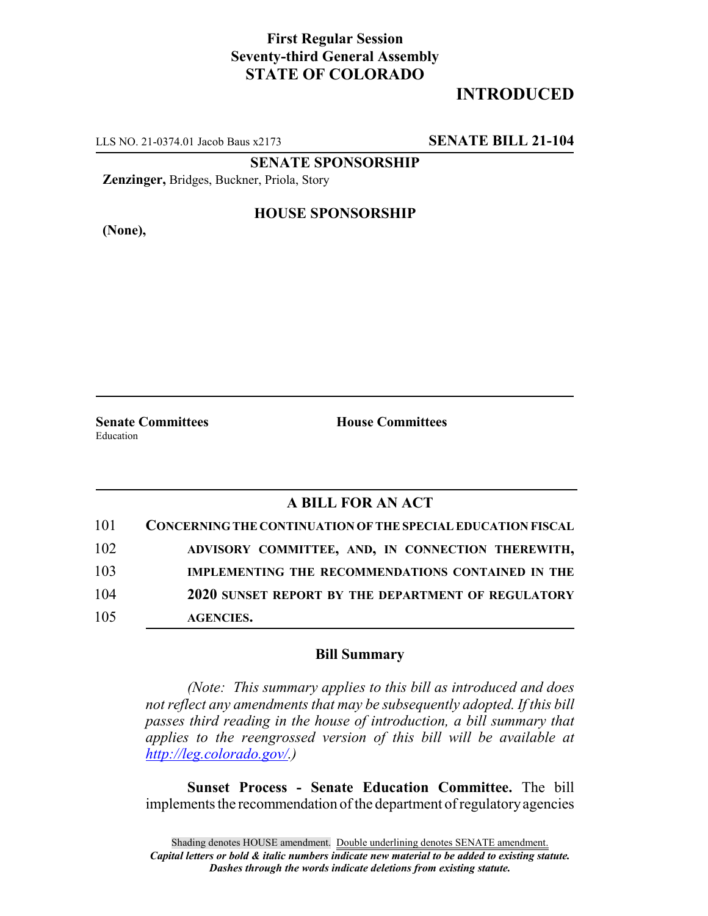## **First Regular Session Seventy-third General Assembly STATE OF COLORADO**

# **INTRODUCED**

LLS NO. 21-0374.01 Jacob Baus x2173 **SENATE BILL 21-104**

**SENATE SPONSORSHIP**

**Zenzinger,** Bridges, Buckner, Priola, Story

**(None),**

#### **HOUSE SPONSORSHIP**

**Senate Committees House Committees** Education

### **A BILL FOR AN ACT**

| 101 | CONCERNING THE CONTINUATION OF THE SPECIAL EDUCATION FISCAL |
|-----|-------------------------------------------------------------|
| 102 | ADVISORY COMMITTEE, AND, IN CONNECTION THEREWITH,           |
| 103 | IMPLEMENTING THE RECOMMENDATIONS CONTAINED IN THE           |
| 104 | 2020 SUNSET REPORT BY THE DEPARTMENT OF REGULATORY          |
| 105 | <b>AGENCIES.</b>                                            |

#### **Bill Summary**

*(Note: This summary applies to this bill as introduced and does not reflect any amendments that may be subsequently adopted. If this bill passes third reading in the house of introduction, a bill summary that applies to the reengrossed version of this bill will be available at http://leg.colorado.gov/.)*

**Sunset Process - Senate Education Committee.** The bill implements the recommendation of the department of regulatory agencies